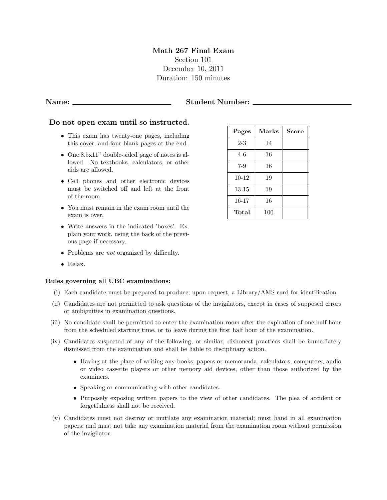### Math 267 Final Exam Section 101 December 10, 2011 Duration: 150 minutes

### Name: Student Number:

### Do not open exam until so instructed.

- This exam has twenty-one pages, including this cover, and four blank pages at the end.
- One 8.5x11" double-sided page of notes is allowed. No textbooks, calculators, or other aids are allowed.
- Cell phones and other electronic devices must be switched off and left at the front of the room.
- You must remain in the exam room until the exam is over.
- Write answers in the indicated 'boxes'. Explain your work, using the back of the previous page if necessary.
- Problems are *not* organized by difficulty.
- Relax.

### Rules governing all UBC examinations:

- (i) Each candidate must be prepared to produce, upon request, a Library/AMS card for identification.
- (ii) Candidates are not permitted to ask questions of the invigilators, except in cases of supposed errors or ambiguities in examination questions.
- (iii) No candidate shall be permitted to enter the examination room after the expiration of one-half hour from the scheduled starting time, or to leave during the first half hour of the examination.
- (iv) Candidates suspected of any of the following, or similar, dishonest practices shall be immediately dismissed from the examination and shall be liable to disciplinary action.
	- Having at the place of writing any books, papers or memoranda, calculators, computers, audio or video cassette players or other memory aid devices, other than those authorized by the examiners.
	- Speaking or communicating with other candidates.
	- Purposely exposing written papers to the view of other candidates. The plea of accident or forgetfulness shall not be received.
- (v) Candidates must not destroy or mutilate any examination material; must hand in all examination papers; and must not take any examination material from the examination room without permission of the invigilator.

| Pages     | <b>Marks</b> | <b>Score</b> |
|-----------|--------------|--------------|
| $2 - 3$   | 14           |              |
| 4-6       | 16           |              |
| $7 - 9$   | 16           |              |
| $10 - 12$ | 19           |              |
| 13-15     | 19           |              |
| 16-17     | 16           |              |
| Total     | 100          |              |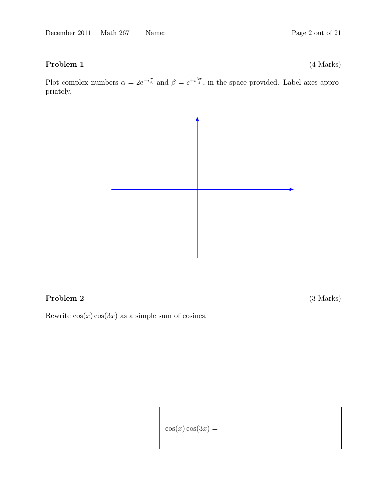# Problem 1 (4 Marks)

Plot complex numbers  $\alpha = 2e^{-i\frac{\pi}{6}}$  and  $\beta = e^{+i\frac{3\pi}{4}}$ , in the space provided. Label axes appropriately.



### Problem 2 (3 Marks)

Rewrite  $cos(x) cos(3x)$  as a simple sum of cosines.

 $cos(x) cos(3x) =$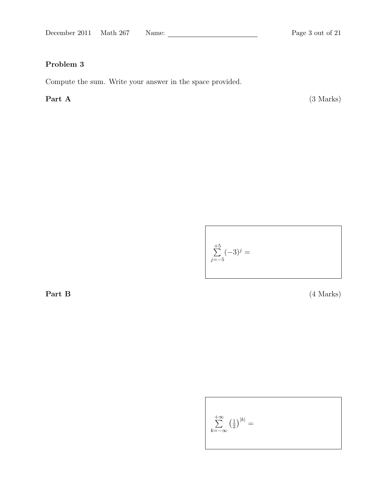Compute the sum. Write your answer in the space provided.

Part A (3 Marks)

$$
\sum_{j=-5}^{+5} (-3)^j =
$$

Part B (4 Marks)

$$
\sum_{k=-\infty}^{+\infty} \left(\frac{1}{2}\right)^{|k|} =
$$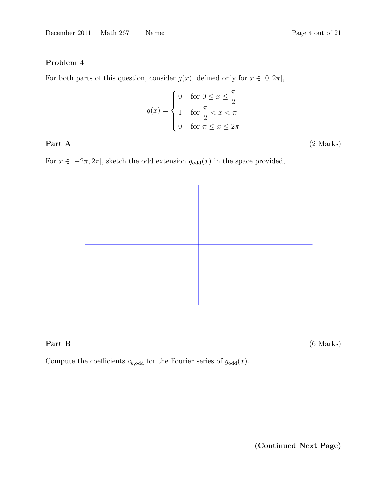For both parts of this question, consider  $g(x)$ , defined only for  $x \in [0, 2\pi]$ ,

$$
g(x) = \begin{cases} 0 & \text{for } 0 \le x \le \frac{\pi}{2} \\ 1 & \text{for } \frac{\pi}{2} < x < \pi \\ 0 & \text{for } \pi \le x \le 2\pi \end{cases}
$$

Part A (2 Marks)

For  $x \in [-2\pi, 2\pi]$ , sketch the odd extension  $g_{\text{odd}}(x)$  in the space provided,



**Part B** (6 Marks)

Compute the coefficients  $c_{k,odd}$  for the Fourier series of  $g_{odd}(x)$ .

(Continued Next Page)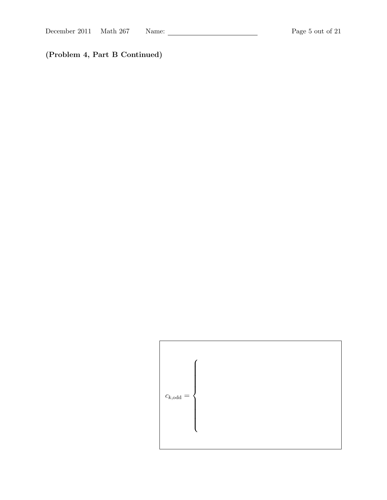(Problem 4, Part B Continued)

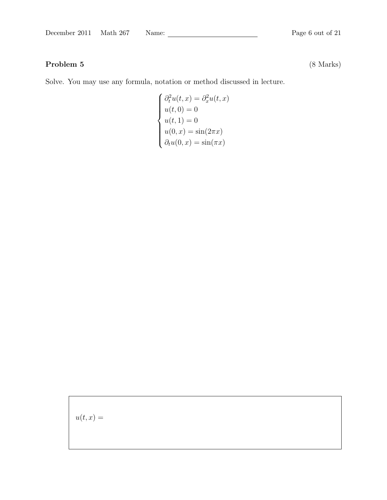# Problem 5 (8 Marks)

Solve. You may use any formula, notation or method discussed in lecture.

$$
\begin{cases}\n\partial_t^2 u(t,x) = \partial_x^2 u(t,x) \\
u(t,0) = 0 \\
u(t,1) = 0 \\
u(0,x) = \sin(2\pi x) \\
\partial_t u(0,x) = \sin(\pi x)\n\end{cases}
$$

 $\label{eq:2.1} u(t,x) =$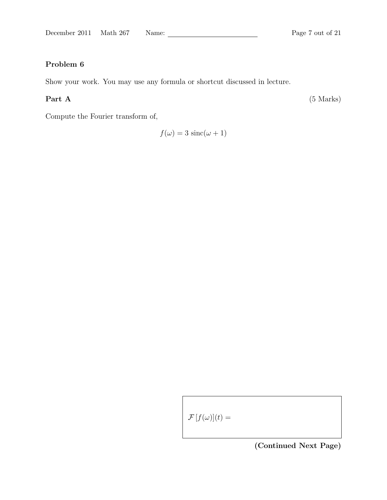Show your work. You may use any formula or shortcut discussed in lecture.

Part A (5 Marks)

Compute the Fourier transform of,

 $f(\omega) = 3 \operatorname{sinc}(\omega + 1)$ 

 $\mathcal{F}[f(\omega)](t) =$ 

(Continued Next Page)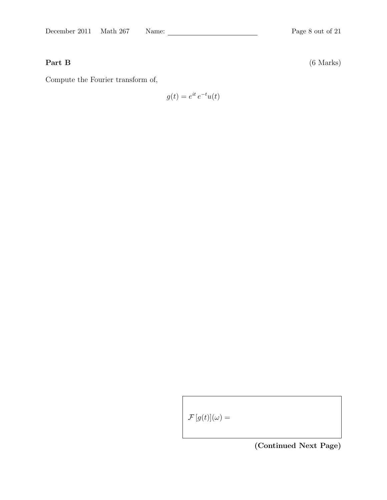Part B (6 Marks)

Compute the Fourier transform of,

$$
g(t) = e^{it} e^{-t} u(t)
$$

 $\mathcal{F}\left[g(t)\right](\omega) =$ 

(Continued Next Page)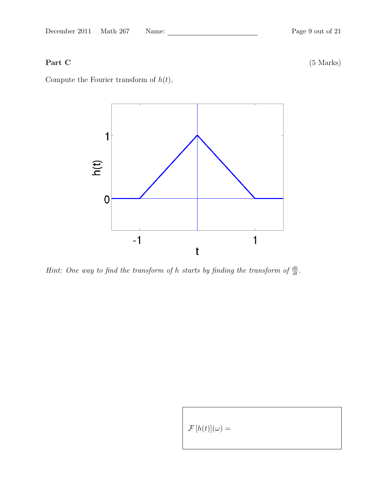Part C (5 Marks)

Compute the Fourier transform of  $h(t)$ ,



Hint: One way to find the transform of h starts by finding the transform of  $\frac{dh}{dt}$ .

 $\mathcal{F}[h(t)](\omega) =$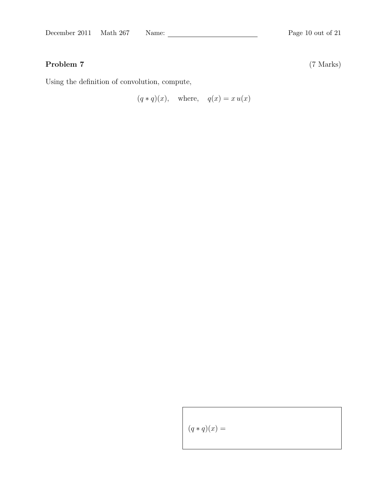Using the definition of convolution, compute,

 $(q * q)(x)$ , where,  $q(x) = x u(x)$ 

 $(q * q)(x) =$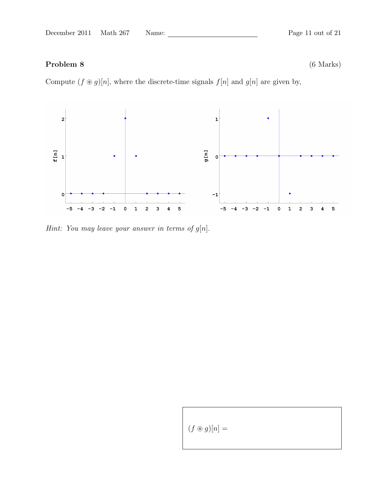# Problem 8 (6 Marks)

Compute  $(f \otimes g)[n]$ , where the discrete-time signals  $f[n]$  and  $g[n]$  are given by,



Hint: You may leave your answer in terms of  $g[n]$ .

 $(f \circledast g)[n] =$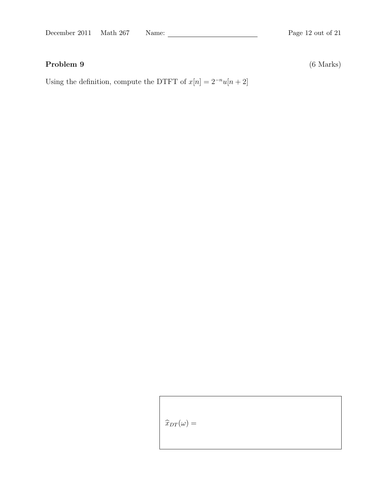# Problem 9 (6 Marks)

Using the definition, compute the DTFT of  $x[n]=2^{-n}u[n+2]$ 

 $\widehat{x}_{DT}(\omega) =$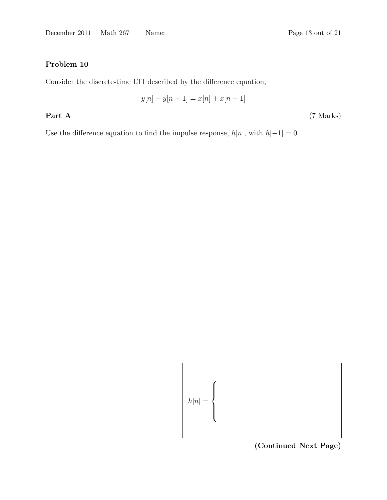Consider the discrete-time LTI described by the difference equation,

$$
y[n] - y[n-1] = x[n] + x[n-1]
$$

Part A (7 Marks)

Use the difference equation to find the impulse response,  $h[n]$ , with  $h[-1] = 0$ .

$$
h[n] = \left\{
$$

(Continued Next Page)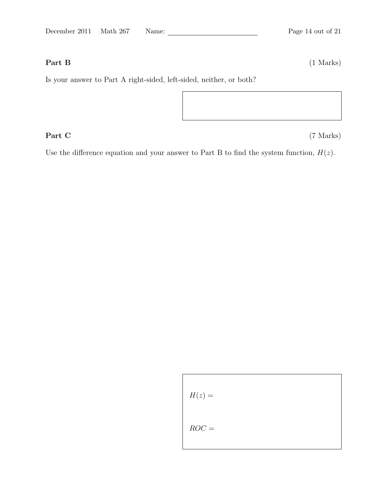Part B (1 Marks)

Is your answer to Part A right-sided, left-sided, neither, or both?

Part C (7 Marks)

Use the difference equation and your answer to Part B to find the system function,  $H(z)$ .

 $\overline{\phantom{a}}$ 

$$
H(z) =
$$
  
ROC =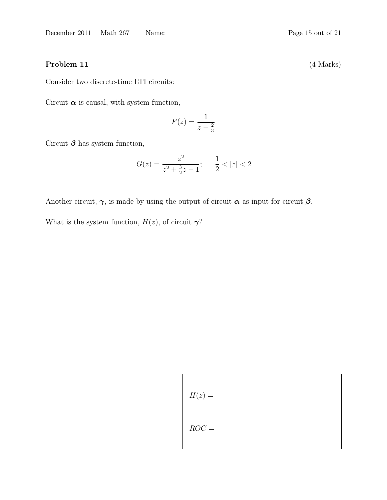### Problem 11 (4 Marks)

Consider two discrete-time LTI circuits:

Circuit  $\alpha$  is causal, with system function,

$$
F(z) = \frac{1}{z - \frac{2}{3}}
$$

Circuit  $\beta$  has system function,

$$
G(z) = \frac{z^2}{z^2 + \frac{3}{2}z - 1}; \quad \frac{1}{2} < |z| < 2
$$

Another circuit,  $\gamma$ , is made by using the output of circuit  $\alpha$  as input for circuit  $\beta$ .

What is the system function,  $H(z)$ , of circuit  $\gamma$ ?

$$
H(z) =
$$
  
ROC =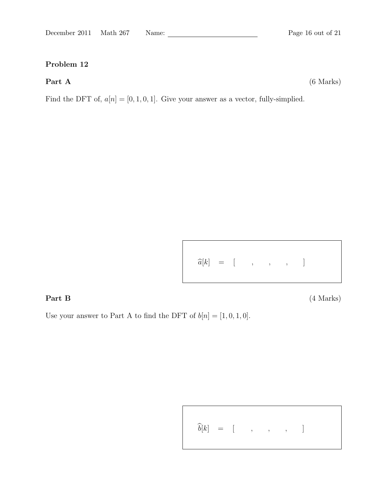Part A (6 Marks)

Find the DFT of,  $a[n] = [0, 1, 0, 1]$ . Give your answer as a vector, fully-simplied.

$$
\widehat{a}[k] = [ , , , , , ]
$$

Part B (4 Marks)

Use your answer to Part A to find the DFT of  $b[n] = [1, 0, 1, 0]$ .

$$
\widehat{b}[k] = [ , , , , , ]
$$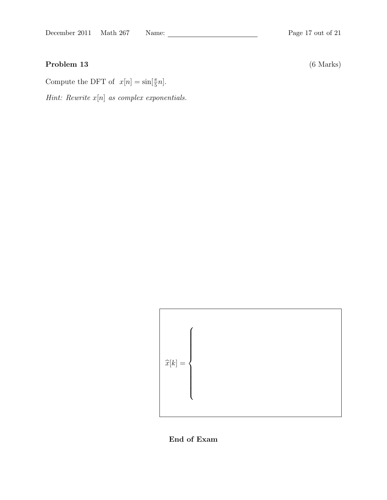# Problem 13 (6 Marks)

Compute the DFT of  $x[n] = \sin[\frac{\pi}{5}n]$ .

Hint: Rewrite  $x[n]$  as complex exponentials.